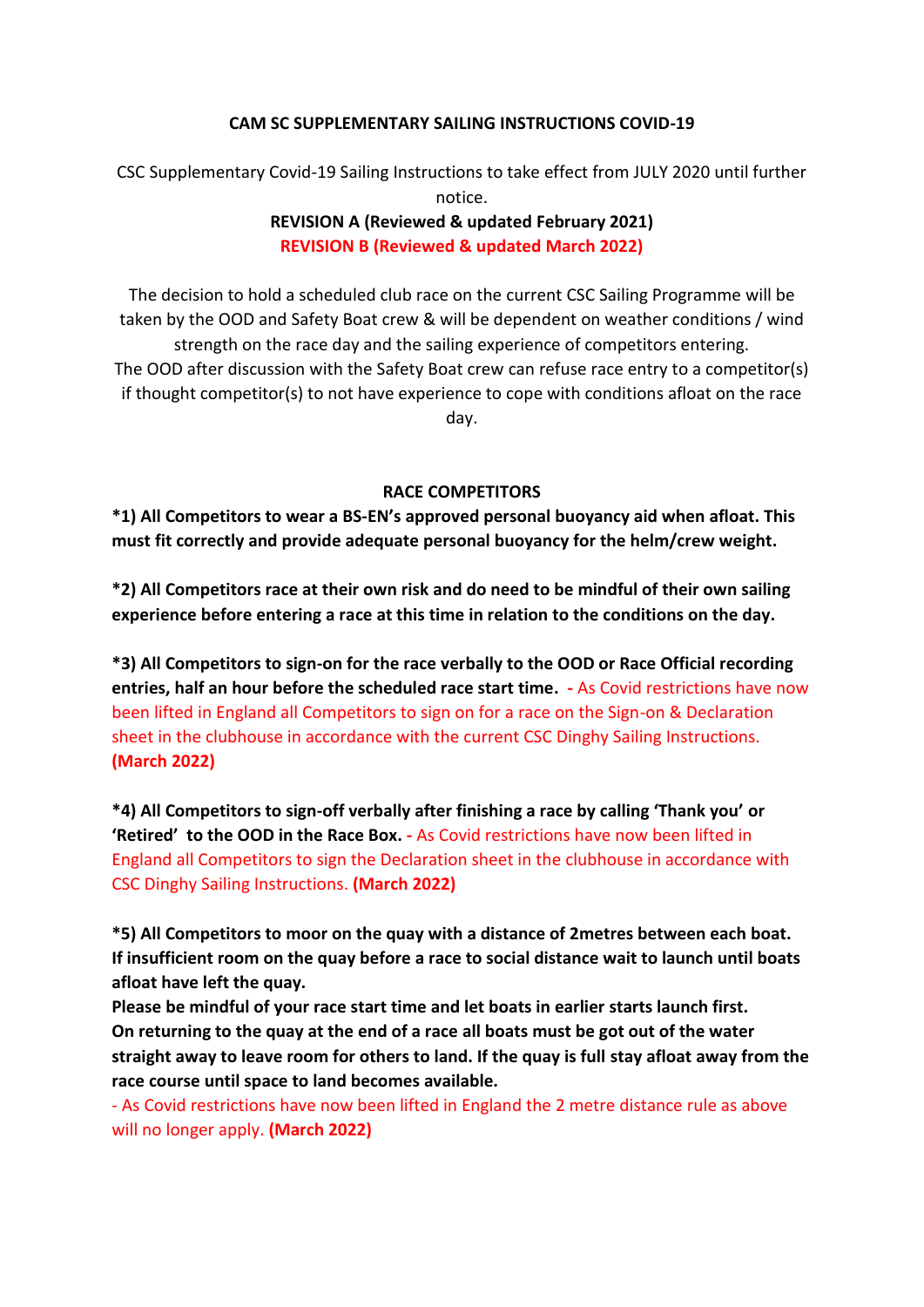#### **CAM SC SUPPLEMENTARY SAILING INSTRUCTIONS COVID-19**

CSC Supplementary Covid-19 Sailing Instructions to take effect from JULY 2020 until further notice.

## **REVISION A (Reviewed & updated February 2021) REVISION B (Reviewed & updated March 2022)**

The decision to hold a scheduled club race on the current CSC Sailing Programme will be taken by the OOD and Safety Boat crew & will be dependent on weather conditions / wind strength on the race day and the sailing experience of competitors entering. The OOD after discussion with the Safety Boat crew can refuse race entry to a competitor(s) if thought competitor(s) to not have experience to cope with conditions afloat on the race day.

#### **RACE COMPETITORS**

**\*1) All Competitors to wear a BS-EN's approved personal buoyancy aid when afloat. This must fit correctly and provide adequate personal buoyancy for the helm/crew weight.**

**\*2) All Competitors race at their own risk and do need to be mindful of their own sailing experience before entering a race at this time in relation to the conditions on the day.** 

**\*3) All Competitors to sign-on for the race verbally to the OOD or Race Official recording entries, half an hour before the scheduled race start time. -** As Covid restrictions have now been lifted in England all Competitors to sign on for a race on the Sign-on & Declaration sheet in the clubhouse in accordance with the current CSC Dinghy Sailing Instructions. **(March 2022)**

**\*4) All Competitors to sign-off verbally after finishing a race by calling 'Thank you' or 'Retired' to the OOD in the Race Box. -** As Covid restrictions have now been lifted in England all Competitors to sign the Declaration sheet in the clubhouse in accordance with CSC Dinghy Sailing Instructions. **(March 2022)**

**\*5) All Competitors to moor on the quay with a distance of 2metres between each boat. If insufficient room on the quay before a race to social distance wait to launch until boats afloat have left the quay.**

**Please be mindful of your race start time and let boats in earlier starts launch first. On returning to the quay at the end of a race all boats must be got out of the water straight away to leave room for others to land. If the quay is full stay afloat away from the race course until space to land becomes available.**

- As Covid restrictions have now been lifted in England the 2 metre distance rule as above will no longer apply. **(March 2022)**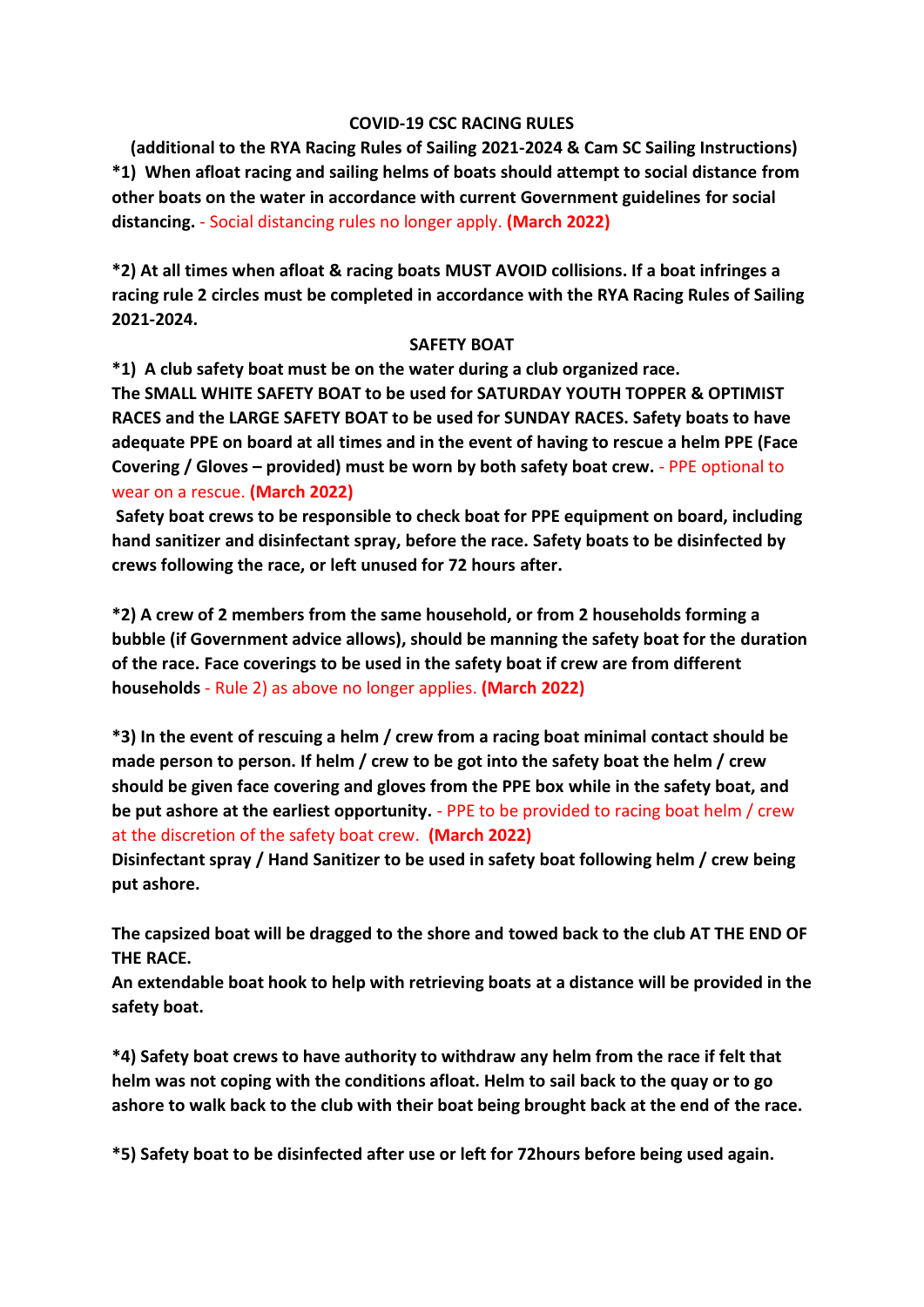#### **COVID-19 CSC RACING RULES**

**(additional to the RYA Racing Rules of Sailing 2021-2024 & Cam SC Sailing Instructions) \*1) When afloat racing and sailing helms of boats should attempt to social distance from other boats on the water in accordance with current Government guidelines for social distancing.** - Social distancing rules no longer apply. **(March 2022)**

**\*2) At all times when afloat & racing boats MUST AVOID collisions. If a boat infringes a racing rule 2 circles must be completed in accordance with the RYA Racing Rules of Sailing 2021-2024.**

#### **SAFETY BOAT**

**\*1) A club safety boat must be on the water during a club organized race.** 

**The SMALL WHITE SAFETY BOAT to be used for SATURDAY YOUTH TOPPER & OPTIMIST RACES and the LARGE SAFETY BOAT to be used for SUNDAY RACES. Safety boats to have adequate PPE on board at all times and in the event of having to rescue a helm PPE (Face Covering / Gloves – provided) must be worn by both safety boat crew.** - PPE optional to wear on a rescue. **(March 2022)**

**Safety boat crews to be responsible to check boat for PPE equipment on board, including hand sanitizer and disinfectant spray, before the race. Safety boats to be disinfected by crews following the race, or left unused for 72 hours after.**

**\*2) A crew of 2 members from the same household, or from 2 households forming a bubble (if Government advice allows), should be manning the safety boat for the duration of the race. Face coverings to be used in the safety boat if crew are from different households** - Rule 2) as above no longer applies. **(March 2022)**

**\*3) In the event of rescuing a helm / crew from a racing boat minimal contact should be made person to person. If helm / crew to be got into the safety boat the helm / crew should be given face covering and gloves from the PPE box while in the safety boat, and be put ashore at the earliest opportunity.** - PPE to be provided to racing boat helm / crew at the discretion of the safety boat crew. **(March 2022)** 

**Disinfectant spray / Hand Sanitizer to be used in safety boat following helm / crew being put ashore.**

**The capsized boat will be dragged to the shore and towed back to the club AT THE END OF THE RACE.**

**An extendable boat hook to help with retrieving boats at a distance will be provided in the safety boat.**

**\*4) Safety boat crews to have authority to withdraw any helm from the race if felt that helm was not coping with the conditions afloat. Helm to sail back to the quay or to go ashore to walk back to the club with their boat being brought back at the end of the race.** 

**\*5) Safety boat to be disinfected after use or left for 72hours before being used again.**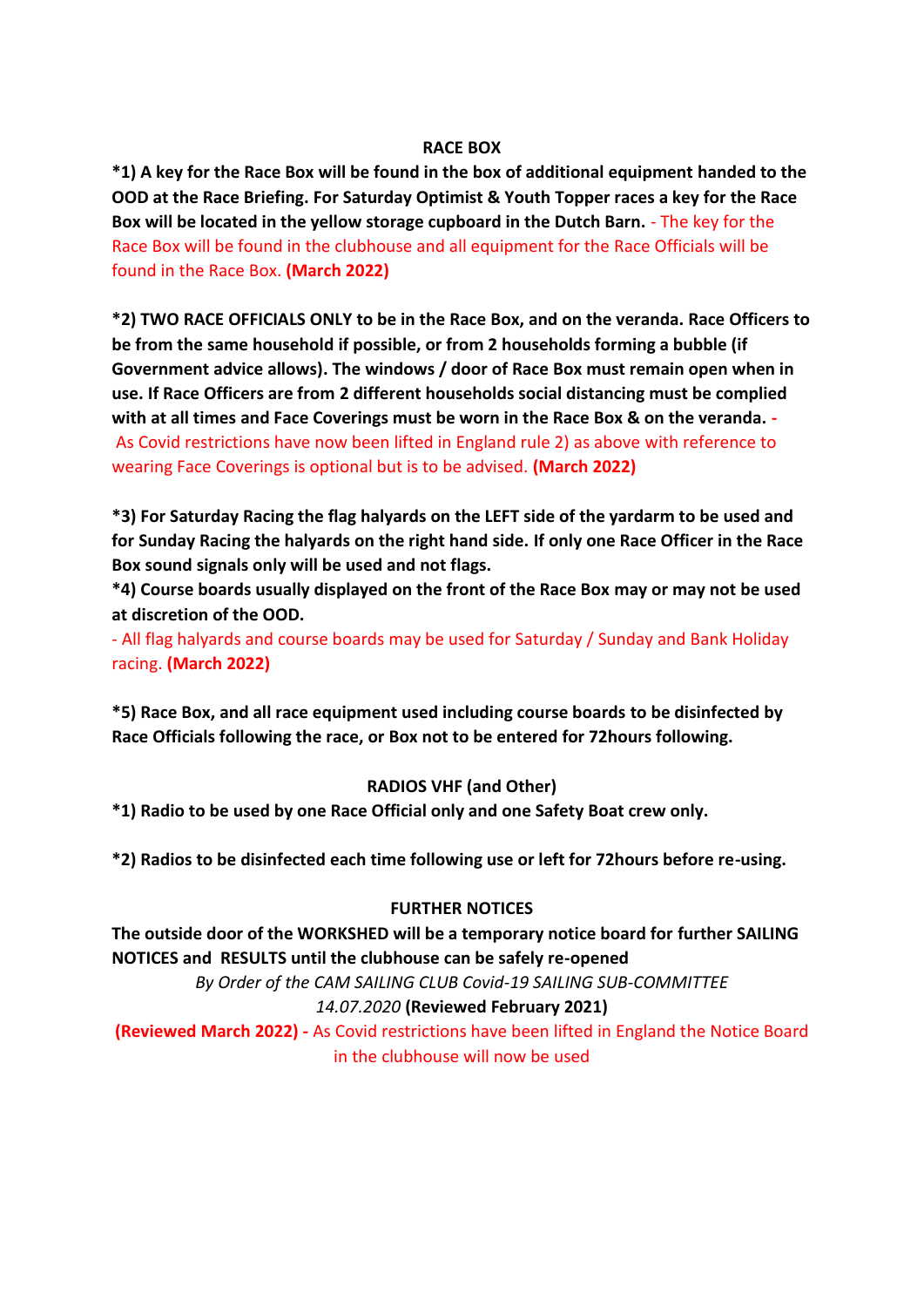#### **RACE BOX**

**\*1) A key for the Race Box will be found in the box of additional equipment handed to the OOD at the Race Briefing. For Saturday Optimist & Youth Topper races a key for the Race Box will be located in the yellow storage cupboard in the Dutch Barn.** - The key for the Race Box will be found in the clubhouse and all equipment for the Race Officials will be found in the Race Box. **(March 2022)**

**\*2) TWO RACE OFFICIALS ONLY to be in the Race Box, and on the veranda. Race Officers to be from the same household if possible, or from 2 households forming a bubble (if Government advice allows). The windows / door of Race Box must remain open when in use. If Race Officers are from 2 different households social distancing must be complied with at all times and Face Coverings must be worn in the Race Box & on the veranda. -** As Covid restrictions have now been lifted in England rule 2) as above with reference to wearing Face Coverings is optional but is to be advised. **(March 2022)**

**\*3) For Saturday Racing the flag halyards on the LEFT side of the yardarm to be used and for Sunday Racing the halyards on the right hand side. If only one Race Officer in the Race Box sound signals only will be used and not flags.**

**\*4) Course boards usually displayed on the front of the Race Box may or may not be used at discretion of the OOD.**

- All flag halyards and course boards may be used for Saturday / Sunday and Bank Holiday racing. **(March 2022)**

**\*5) Race Box, and all race equipment used including course boards to be disinfected by Race Officials following the race, or Box not to be entered for 72hours following.**

#### **RADIOS VHF (and Other)**

**\*1) Radio to be used by one Race Official only and one Safety Boat crew only.**

**\*2) Radios to be disinfected each time following use or left for 72hours before re-using.**

#### **FURTHER NOTICES**

**The outside door of the WORKSHED will be a temporary notice board for further SAILING NOTICES and RESULTS until the clubhouse can be safely re-opened**

> *By Order of the CAM SAILING CLUB Covid-19 SAILING SUB-COMMITTEE 14.07.2020* **(Reviewed February 2021)**

**(Reviewed March 2022) -** As Covid restrictions have been lifted in England the Notice Board in the clubhouse will now be used